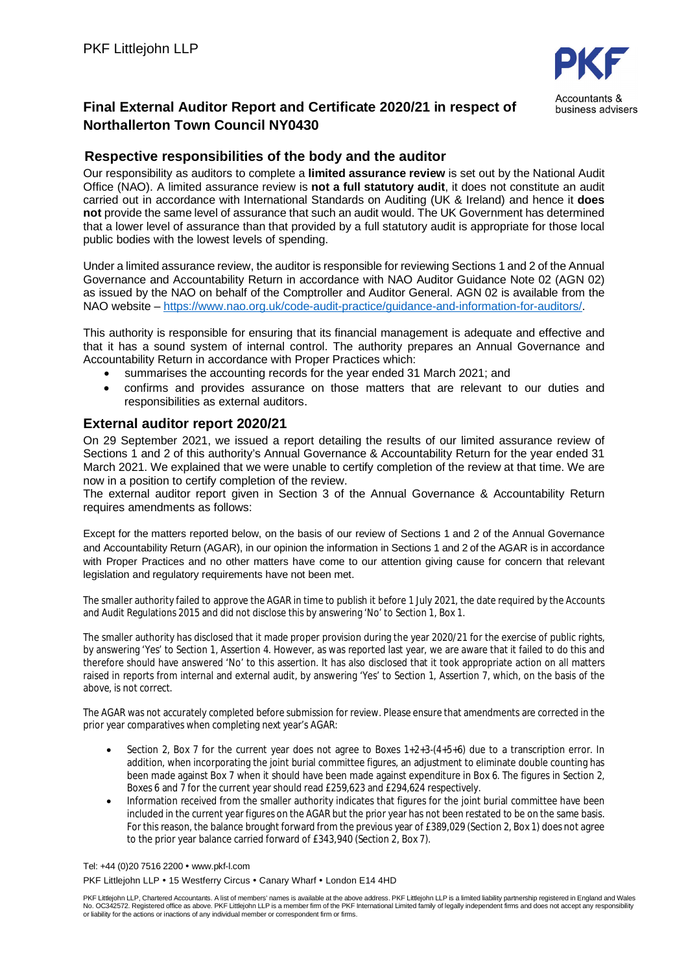

business advisers

## **Final External Auditor Report and Certificate 2020/21 in respect of Northallerton Town Council NY0430**

## **Respective responsibilities of the body and the auditor**

Our responsibility as auditors to complete a **limited assurance review** is set out by the National Audit Office (NAO). A limited assurance review is **not a full statutory audit**, it does not constitute an audit carried out in accordance with International Standards on Auditing (UK & Ireland) and hence it **does not** provide the same level of assurance that such an audit would. The UK Government has determined that a lower level of assurance than that provided by a full statutory audit is appropriate for those local public bodies with the lowest levels of spending.

Under a limited assurance review, the auditor is responsible for reviewing Sections 1 and 2 of the Annual Governance and Accountability Return in accordance with NAO Auditor Guidance Note 02 (AGN 02) as issued by the NAO on behalf of the Comptroller and Auditor General. AGN 02 is available from the NAO website – https://www.nao.org.uk/code-audit-practice/guidance-and-information-for-auditors/.

This authority is responsible for ensuring that its financial management is adequate and effective and that it has a sound system of internal control. The authority prepares an Annual Governance and Accountability Return in accordance with Proper Practices which:

- summarises the accounting records for the year ended 31 March 2021; and
- confirms and provides assurance on those matters that are relevant to our duties and responsibilities as external auditors.

## **External auditor report 2020/21**

On 29 September 2021, we issued a report detailing the results of our limited assurance review of Sections 1 and 2 of this authority's Annual Governance & Accountability Return for the year ended 31 March 2021. We explained that we were unable to certify completion of the review at that time. We are now in a position to certify completion of the review.

The external auditor report given in Section 3 of the Annual Governance & Accountability Return requires amendments as follows:

Except for the matters reported below, on the basis of our review of Sections 1 and 2 of the Annual Governance and Accountability Return (AGAR), in our opinion the information in Sections 1 and 2 of the AGAR is in accordance with Proper Practices and no other matters have come to our attention giving cause for concern that relevant legislation and regulatory requirements have not been met.

The smaller authority failed to approve the AGAR in time to publish it before 1 July 2021, the date required by the Accounts and Audit Regulations 2015 and did not disclose this by answering 'No' to Section 1, Box 1.

The smaller authority has disclosed that it made proper provision during the year 2020/21 for the exercise of public rights, by answering 'Yes' to Section 1, Assertion 4. However, as was reported last year, we are aware that it failed to do this and therefore should have answered 'No' to this assertion. It has also disclosed that it took appropriate action on all matters raised in reports from internal and external audit, by answering 'Yes' to Section 1, Assertion 7, which, on the basis of the above, is not correct.

The AGAR was not accurately completed before submission for review. Please ensure that amendments are corrected in the prior year comparatives when completing next year's AGAR:

- Section 2, Box 7 for the current year does not agree to Boxes  $1+2+3-(4+5+6)$  due to a transcription error. In addition, when incorporating the joint burial committee figures, an adjustment to eliminate double counting has been made against Box 7 when it should have been made against expenditure in Box 6. The figures in Section 2, Boxes 6 and 7 for the current year should read £259,623 and £294,624 respectively.
- Information received from the smaller authority indicates that figures for the joint burial committee have been included in the current year figures on the AGAR but the prior year has not been restated to be on the same basis. For this reason, the balance brought forward from the previous year of £389,029 (Section 2, Box 1) does not agree to the prior year balance carried forward of £343,940 (Section 2, Box 7).

Tel: +44 (0)20 7516 2200 • www.pkf-l.com

PKF Littleiohn LLP • 15 Westferry Circus • Canary Wharf • London E14 4HD

PKF Littlejohn LLP, Chartered Accountants. A list of members' names is available at the above address. PKF Littlejohn LLP is a limited liability partnership registered in England and Wales<br>No. OC342572. Registered office a or liability for the actions or inactions of any individual member or correspondent firm or firms.